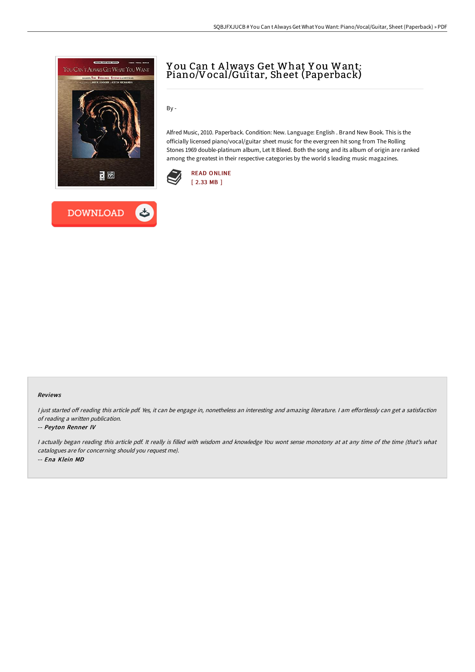



# Y ou Can t A lways Get What Y ou Want: Piano/Vocal/Guitar, Sheet (Paperback)

By -

Alfred Music, 2010. Paperback. Condition: New. Language: English . Brand New Book. This is the officially licensed piano/vocal/guitar sheet music for the evergreen hit song from The Rolling Stones 1969 double-platinum album, Let It Bleed. Both the song and its album of origin are ranked among the greatest in their respective categories by the world s leading music magazines.



#### Reviews

I just started off reading this article pdf. Yes, it can be engage in, nonetheless an interesting and amazing literature. I am effortlessly can get a satisfaction of reading <sup>a</sup> written publication.

#### -- Peyton Renner IV

<sup>I</sup> actually began reading this article pdf. It really is filled with wisdom and knowledge You wont sense monotony at at any time of the time (that's what catalogues are for concerning should you request me). -- Ena Klein MD